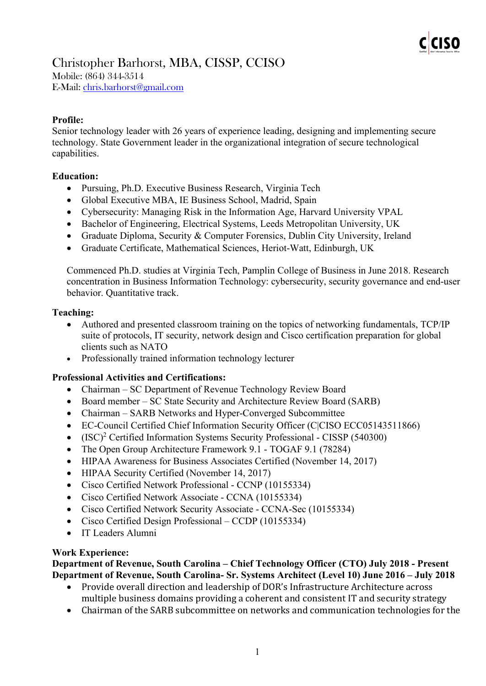

Mobile: (864) 344-3514 E-Mail: [chris.barhorst@gmail.com](mailto:chris.barhorst@gmail.com)

### **Profile:**

Senior technology leader with 26 years of experience leading, designing and implementing secure technology. State Government leader in the organizational integration of secure technological capabilities.

#### **Education:**

- Pursuing, Ph.D. Executive Business Research, Virginia Tech
- Global Executive MBA, IE Business School, Madrid, Spain
- Cybersecurity: Managing Risk in the Information Age, Harvard University VPAL
- Bachelor of Engineering, Electrical Systems, Leeds Metropolitan University, UK
- Graduate Diploma, Security & Computer Forensics, Dublin City University, Ireland
- Graduate Certificate, Mathematical Sciences, Heriot-Watt, Edinburgh, UK

Commenced Ph.D. studies at Virginia Tech, Pamplin College of Business in June 2018. Research concentration in Business Information Technology: cybersecurity, security governance and end-user behavior. Quantitative track.

#### **Teaching:**

- Authored and presented classroom training on the topics of networking fundamentals, TCP/IP suite of protocols, IT security, network design and Cisco certification preparation for global clients such as NATO
- Professionally trained information technology lecturer

#### **Professional Activities and Certifications:**

- Chairman SC Department of Revenue Technology Review Board
- Board member SC State Security and Architecture Review Board (SARB)
- Chairman SARB Networks and Hyper-Converged Subcommittee
- EC-Council Certified Chief Information Security Officer (C|CISO ECC05143511866)
- (ISC)<sup>2</sup> Certified Information Systems Security Professional CISSP (540300)
- The Open Group Architecture Framework 9.1 TOGAF 9.1 (78284)
- HIPAA Awareness for Business Associates Certified (November 14, 2017)
- HIPAA Security Certified (November 14, 2017)
- Cisco Certified Network Professional CCNP (10155334)
- Cisco Certified Network Associate CCNA (10155334)
- Cisco Certified Network Security Associate CCNA-Sec (10155334)
- Cisco Certified Design Professional CCDP (10155334)
- IT Leaders Alumni

#### **Work Experience:**

**Department of Revenue, South Carolina – Chief Technology Officer (CTO) July 2018 - Present Department of Revenue, South Carolina- Sr. Systems Architect (Level 10) June 2016 – July 2018**

- Provide overall direction and leadership of DOR's Infrastructure Architecture across multiple business domains providing a coherent and consistent IT and security strategy
- Chairman of the SARB subcommittee on networks and communication technologies for the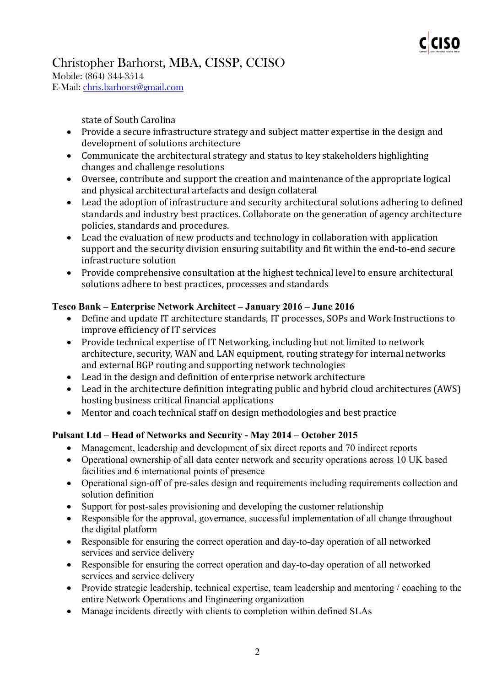

Mobile: (864) 344-3514 E-Mail: [chris.barhorst@gmail.com](mailto:chris.barhorst@gmail.com)

state of South Carolina

- Provide a secure infrastructure strategy and subject matter expertise in the design and development of solutions architecture
- Communicate the architectural strategy and status to key stakeholders highlighting changes and challenge resolutions
- Oversee, contribute and support the creation and maintenance of the appropriate logical and physical architectural artefacts and design collateral
- Lead the adoption of infrastructure and security architectural solutions adhering to defined standards and industry best practices. Collaborate on the generation of agency architecture policies, standards and procedures.
- Lead the evaluation of new products and technology in collaboration with application support and the security division ensuring suitability and fit within the end-to-end secure infrastructure solution
- Provide comprehensive consultation at the highest technical level to ensure architectural solutions adhere to best practices, processes and standards

### **Tesco Bank – Enterprise Network Architect – January 2016 – June 2016**

- Define and update IT architecture standards, IT processes, SOPs and Work Instructions to improve efficiency of IT services
- Provide technical expertise of IT Networking, including but not limited to network architecture, security, WAN and LAN equipment, routing strategy for internal networks and external BGP routing and supporting network technologies
- Lead in the design and definition of enterprise network architecture
- Lead in the architecture definition integrating public and hybrid cloud architectures (AWS) hosting business critical financial applications
- Mentor and coach technical staff on design methodologies and best practice

# **Pulsant Ltd – Head of Networks and Security - May 2014 – October 2015**

- Management, leadership and development of six direct reports and 70 indirect reports
- Operational ownership of all data center network and security operations across 10 UK based facilities and 6 international points of presence
- Operational sign-off of pre-sales design and requirements including requirements collection and solution definition
- Support for post-sales provisioning and developing the customer relationship
- Responsible for the approval, governance, successful implementation of all change throughout the digital platform
- Responsible for ensuring the correct operation and day-to-day operation of all networked services and service delivery
- Responsible for ensuring the correct operation and day-to-day operation of all networked services and service delivery
- Provide strategic leadership, technical expertise, team leadership and mentoring / coaching to the entire Network Operations and Engineering organization
- Manage incidents directly with clients to completion within defined SLAs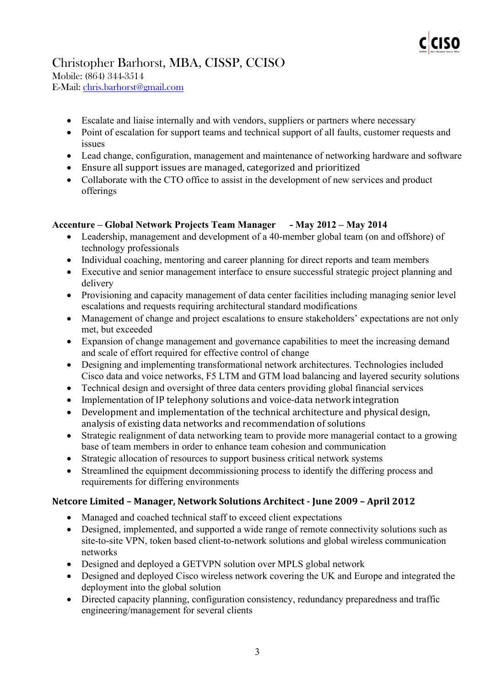

Mobile: (864) 344-3514 E-Mail: [chris.barhorst@gmail.com](mailto:chris.barhorst@gmail.com)

- Escalate and liaise internally and with vendors, suppliers or partners where necessary
- Point of escalation for support teams and technical support of all faults, customer requests and issues
- Lead change, configuration, management and maintenance of networking hardware and software
- Ensure all support issues are managed, categorized and prioritized
- Collaborate with the CTO office to assist in the development of new services and product offerings

### **Accenture – Global Network Projects Team Manager - May 2012 – May 2014**

- Leadership, management and development of a 40-member global team (on and offshore) of technology professionals
- Individual coaching, mentoring and career planning for direct reports and team members
- Executive and senior management interface to ensure successful strategic project planning and delivery
- Provisioning and capacity management of data center facilities including managing senior level escalations and requests requiring architectural standard modifications
- Management of change and project escalations to ensure stakeholders' expectations are not only met, but exceeded
- Expansion of change management and governance capabilities to meet the increasing demand and scale of effort required for effective control of change
- Designing and implementing transformational network architectures. Technologies included Cisco data and voice networks, F5 LTM and GTM load balancing and layered security solutions
- Technical design and oversight of three data centers providing global financial services
- Implementation of IP telephony solutions and voice-data network integration
- Development and implementation of the technical architecture and physical design, analysis of existing data networks and recommendation of solutions
- Strategic realignment of data networking team to provide more managerial contact to a growing base of team members in order to enhance team cohesion and communication
- Strategic allocation of resources to support business critical network systems
- Streamlined the equipment decommissioning process to identify the differing process and requirements for differing environments

### **Netcore Limited – Manager, Network Solutions Architect - June 2009 – April 2012**

- Managed and coached technical staff to exceed client expectations
- Designed, implemented, and supported a wide range of remote connectivity solutions such as site-to-site VPN, token based client-to-network solutions and global wireless communication networks
- Designed and deployed a GETVPN solution over MPLS global network
- Designed and deployed Cisco wireless network covering the UK and Europe and integrated the deployment into the global solution
- Directed capacity planning, configuration consistency, redundancy preparedness and traffic engineering/management for several clients